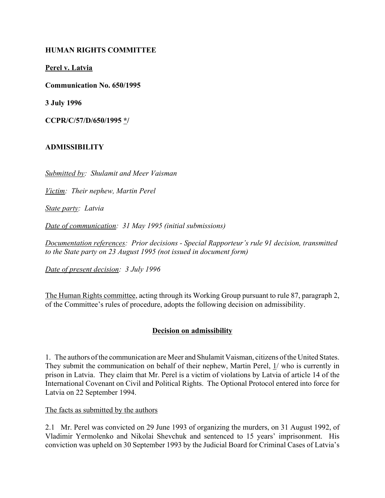## **HUMAN RIGHTS COMMITTEE**

**Perel v. Latvia**

**Communication No. 650/1995**

**3 July 1996**

**CCPR/C/57/D/650/1995 \*/**

#### **ADMISSIBILITY**

*Submitted by: Shulamit and Meer Vaisman*

*Victim: Their nephew, Martin Perel*

*State party: Latvia*

*Date of communication: 31 May 1995 (initial submissions)*

*Documentation references: Prior decisions - Special Rapporteur's rule 91 decision, transmitted to the State party on 23 August 1995 (not issued in document form)*

*Date of present decision: 3 July 1996*

The Human Rights committee, acting through its Working Group pursuant to rule 87, paragraph 2, of the Committee's rules of procedure, adopts the following decision on admissibility.

#### **Decision on admissibility**

1. The authors of the communication are Meer and Shulamit Vaisman, citizens of the United States. They submit the communication on behalf of their nephew, Martin Perel,  $\frac{1}{x}$  who is currently in prison in Latvia. They claim that Mr. Perel is a victim of violations by Latvia of article 14 of the International Covenant on Civil and Political Rights. The Optional Protocol entered into force for Latvia on 22 September 1994.

The facts as submitted by the authors

2.1 Mr. Perel was convicted on 29 June 1993 of organizing the murders, on 31 August 1992, of Vladimir Yermolenko and Nikolai Shevchuk and sentenced to 15 years' imprisonment. His conviction was upheld on 30 September 1993 by the Judicial Board for Criminal Cases of Latvia's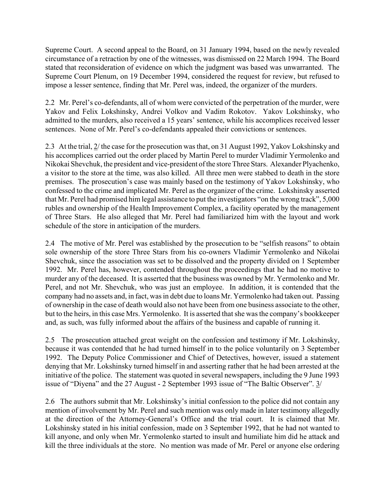Supreme Court. A second appeal to the Board, on 31 January 1994, based on the newly revealed circumstance of a retraction by one of the witnesses, was dismissed on 22 March 1994. The Board stated that reconsideration of evidence on which the judgment was based was unwarranted. The Supreme Court Plenum, on 19 December 1994, considered the request for review, but refused to impose a lesser sentence, finding that Mr. Perel was, indeed, the organizer of the murders.

2.2 Mr. Perel's co-defendants, all of whom were convicted of the perpetration of the murder, were Yakov and Felix Lokshinsky, Andrei Volkov and Vadim Rokotov. Yakov Lokshinsky, who admitted to the murders, also received a 15 years' sentence, while his accomplices received lesser sentences. None of Mr. Perel's co-defendants appealed their convictions or sentences.

2.3 At the trial, 2/ the case for the prosecution was that, on 31 August 1992, Yakov Lokshinsky and his accomplices carried out the order placed by Martin Perel to murder Vladimir Yermolenko and Nikokai Shevchuk, the president and vice-president of the store Three Stars. Alexander Plyachenko, a visitor to the store at the time, was also killed. All three men were stabbed to death in the store premises. The prosecution's case was mainly based on the testimony of Yakov Lokshinsky, who confessed to the crime and implicated Mr. Perel as the organizer of the crime. Lokshinsky asserted that Mr. Perel had promised him legal assistance to put the investigators "on the wrong track",  $5,000$ rubles and ownership of the Health Improvement Complex, a facility operated by the management of Three Stars. He also alleged that Mr. Perel had familiarized him with the layout and work schedule of the store in anticipation of the murders.

2.4 The motive of Mr. Perel was established by the prosecution to be "selfish reasons" to obtain sole ownership of the store Three Stars from his co-owners Vladimir Yermolenko and Nikolai Shevchuk, since the association was set to be dissolved and the property divided on 1 September 1992. Mr. Perel has, however, contended throughout the proceedings that he had no motive to murder any of the deceased. It is asserted that the business was owned by Mr. Yermolenko and Mr. Perel, and not Mr. Shevchuk, who was just an employee. In addition, it is contended that the company had no assets and, in fact, was in debt due to loans Mr. Yermolenko had taken out. Passing of ownership in the case of death would also not have been from one business associate to the other, but to the heirs, in this case Mrs. Yermolenko. It is asserted that she was the company's bookkeeper and, as such, was fully informed about the affairs of the business and capable of running it.

2.5 The prosecution attached great weight on the confession and testimony if Mr. Lokshinsky, because it was contended that he had turned himself in to the police voluntarily on 3 September 1992. The Deputy Police Commissioner and Chief of Detectives, however, issued a statement denying that Mr. Lokshinsky turned himself in and asserting rather that he had been arrested at the initiative of the police. The statement was quoted in several newspapers, including the 9 June 1993 issue of "Diyena" and the 27 August - 2 September 1993 issue of "The Baltic Observer".  $\frac{3}{ }$ 

2.6 The authors submit that Mr. Lokshinsky's initial confession to the police did not contain any mention of involvement by Mr. Perel and such mention was only made in later testimony allegedly at the direction of the Attorney-General's Office and the trial court. It is claimed that Mr. Lokshinsky stated in his initial confession, made on 3 September 1992, that he had not wanted to kill anyone, and only when Mr. Yermolenko started to insult and humiliate him did he attack and kill the three individuals at the store. No mention was made of Mr. Perel or anyone else ordering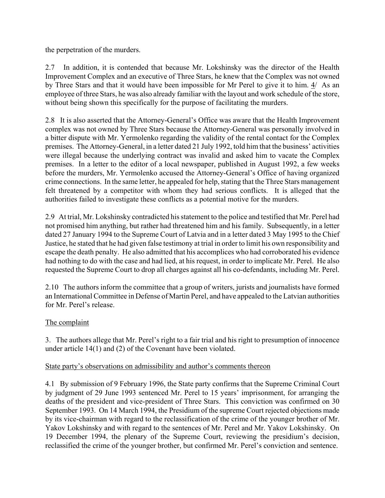the perpetration of the murders.

2.7 In addition, it is contended that because Mr. Lokshinsky was the director of the Health Improvement Complex and an executive of Three Stars, he knew that the Complex was not owned by Three Stars and that it would have been impossible for Mr Perel to give it to him. 4/ As an employee of three Stars, he was also already familiar with the layout and work schedule of the store, without being shown this specifically for the purpose of facilitating the murders.

2.8 It is also asserted that the Attorney-General's Office was aware that the Health Improvement complex was not owned by Three Stars because the Attorney-General was personally involved in a bitter dispute with Mr. Yermolenko regarding the validity of the rental contact for the Complex premises. The Attorney-General, in a letter dated 21 July 1992, told him that the business' activities were illegal because the underlying contract was invalid and asked him to vacate the Complex premises. In a letter to the editor of a local newspaper, published in August 1992, a few weeks before the murders, Mr. Yermolenko accused the Attorney-General's Office of having organized crime connections. In the same letter, he appealed for help, stating that the Three Stars management felt threatened by a competitor with whom they had serious conflicts. It is alleged that the authorities failed to investigate these conflicts as a potential motive for the murders.

2.9 At trial, Mr. Lokshinsky contradicted his statement to the police and testified that Mr. Perel had not promised him anything, but rather had threatened him and his family. Subsequently, in a letter dated 27 January 1994 to the Supreme Court of Latvia and in a letter dated 3 May 1995 to the Chief Justice, he stated that he had given false testimony at trial in order to limit his own responsibility and escape the death penalty. He also admitted that his accomplices who had corroborated his evidence had nothing to do with the case and had lied, at his request, in order to implicate Mr. Perel. He also requested the Supreme Court to drop all charges against all his co-defendants, including Mr. Perel.

2.10 The authors inform the committee that a group of writers, jurists and journalists have formed an International Committee in Defense of Martin Perel, and have appealed to the Latvian authorities for Mr. Perel's release.

# The complaint

3. The authors allege that Mr. Perel's right to a fair trial and his right to presumption of innocence under article 14(1) and (2) of the Covenant have been violated.

## State party's observations on admissibility and author's comments thereon

4.1 By submission of 9 February 1996, the State party confirms that the Supreme Criminal Court by judgment of 29 June 1993 sentenced Mr. Perel to 15 years' imprisonment, for arranging the deaths of the president and vice-president of Three Stars. This conviction was confirmed on 30 September 1993. On 14 March 1994, the Presidium of the supreme Court rejected objections made by its vice-chairman with regard to the reclassification of the crime of the younger brother of Mr. Yakov Lokshinsky and with regard to the sentences of Mr. Perel and Mr. Yakov Lokshinsky. On 19 December 1994, the plenary of the Supreme Court, reviewing the presidium's decision, reclassified the crime of the younger brother, but confirmed Mr. Perel's conviction and sentence.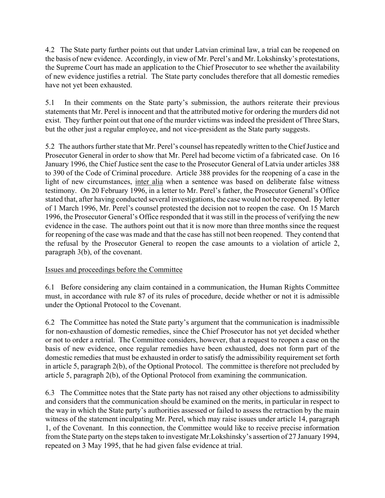4.2 The State party further points out that under Latvian criminal law, a trial can be reopened on the basis of new evidence. Accordingly, in view of Mr. Perel's and Mr. Lokshinsky's protestations, the Supreme Court has made an application to the Chief Prosecutor to see whether the availability of new evidence justifies a retrial. The State party concludes therefore that all domestic remedies have not yet been exhausted.

5.1 In their comments on the State partyís submission, the authors reiterate their previous statements that Mr. Perel is innocent and that the attributed motive for ordering the murders did not exist. They further point out that one of the murder victims was indeed the president of Three Stars, but the other just a regular employee, and not vice-president as the State party suggests.

5.2 The authors further state that Mr. Perel's counsel has repeatedly written to the Chief Justice and Prosecutor General in order to show that Mr. Perel had become victim of a fabricated case. On 16 January 1996, the Chief Justice sent the case to the Prosecutor General of Latvia under articles 388 to 390 of the Code of Criminal procedure. Article 388 provides for the reopening of a case in the light of new circumstances, inter alia when a sentence was based on deliberate false witness testimony. On 20 February 1996, in a letter to Mr. Perel's father, the Prosecutor General's Office stated that, after having conducted several investigations, the case would not be reopened. By letter of 1 March 1996, Mr. Perel's counsel protested the decision not to reopen the case. On 15 March 1996, the Prosecutor General's Office responded that it was still in the process of verifying the new evidence in the case. The authors point out that it is now more than three months since the request for reopening of the case was made and that the case has still not been reopened. They contend that the refusal by the Prosecutor General to reopen the case amounts to a violation of article 2, paragraph 3(b), of the covenant.

# Issues and proceedings before the Committee

6.1 Before considering any claim contained in a communication, the Human Rights Committee must, in accordance with rule 87 of its rules of procedure, decide whether or not it is admissible under the Optional Protocol to the Covenant.

6.2 The Committee has noted the State party's argument that the communication is inadmissible for non-exhaustion of domestic remedies, since the Chief Prosecutor has not yet decided whether or not to order a retrial. The Committee considers, however, that a request to reopen a case on the basis of new evidence, once regular remedies have been exhausted, does not form part of the domestic remedies that must be exhausted in order to satisfy the admissibility requirement set forth in article 5, paragraph 2(b), of the Optional Protocol. The committee is therefore not precluded by article 5, paragraph 2(b), of the Optional Protocol from examining the communication.

6.3 The Committee notes that the State party has not raised any other objections to admissibility and considers that the communication should be examined on the merits, in particular in respect to the way in which the State party's authorities assessed or failed to assess the retraction by the main witness of the statement inculpating Mr. Perel, which may raise issues under article 14, paragraph 1, of the Covenant. In this connection, the Committee would like to receive precise information from the State party on the steps taken to investigate Mr. Lokshinsky's assertion of 27 January 1994, repeated on 3 May 1995, that he had given false evidence at trial.